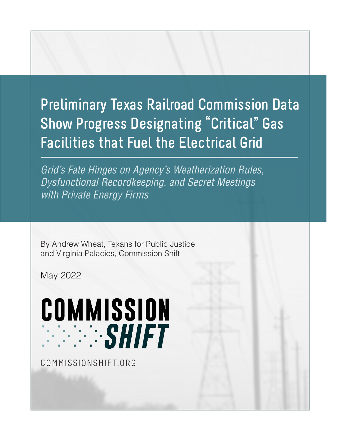# **Preliminary Texas Railroad Commission Data Show Progress Designating "Critical" Gas Facilities that Fuel the Electrical Grid**

*Grid's Fate Hinges on Agency's Weatherization Rules, Dysfunctional Recordkeeping, and Secret Meetings with Private Energy Firms*

By Andrew Wheat, Texans for Public Justice and Virginia Palacios, Commission Shift

May 2022

# COMMISSION **EXAMPLE 1999**

COMMISSIONSHIFT.ORG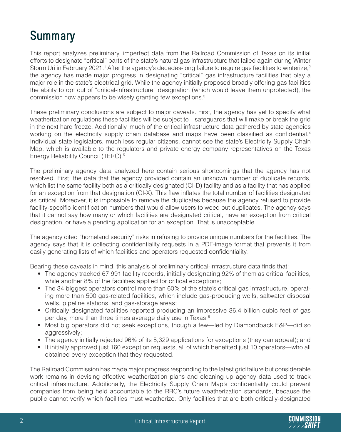# **Summary**

This report analyzes preliminary, imperfect data from the Railroad Commission of Texas on its initial efforts to designate "critical" parts of the state's natural gas infrastructure that failed again during Winter Storm Uri in February 2021.<sup>1</sup> After the agency's decades-long failure to require gas facilities to winterize,<sup>2</sup> the agency has made major progress in designating "critical" gas infrastructure facilities that play a major role in the state's electrical grid. While the agency initially proposed broadly offering gas facilities the ability to opt out of "critical-infrastructure" designation (which would leave them unprotected), the commission now appears to be wisely granting few exceptions.3

These preliminary conclusions are subject to major caveats. First, the agency has yet to specify what weatherization regulations these facilities will be subject to—safeguards that will make or break the grid in the next hard freeze. Additionally, much of the critical infrastructure data gathered by state agencies working on the electricity supply chain database and maps have been classified as confidential.<sup>4</sup> Individual state legislators, much less regular citizens, cannot see the state's Electricity Supply Chain Map, which is available to the regulators and private energy company representatives on the Texas Energy Reliability Council (TERC).5

The preliminary agency data analyzed here contain serious shortcomings that the agency has not resolved. First, the data that the agency provided contain an unknown number of duplicate records, which list the same facility both as a critically designated (CI-D) facility and as a facility that has applied for an exception from that designation (CI-X). This flaw inflates the total number of facilities designated as critical. Moreover, it is impossible to remove the duplicates because the agency refused to provide facility-specific identification numbers that would allow users to weed out duplicates. The agency says that it cannot say how many or which facilities are designated critical, have an exception from critical designation, or have a pending application for an exception. That is unacceptable.

The agency cited "homeland security" risks in refusing to provide unique numbers for the facilities. The agency says that it is collecting confidentiality requests in a PDF-image format that prevents it from easily generating lists of which facilities and operators requested confidentiality.

Bearing these caveats in mind, this analysis of preliminary critical-infrastructure data finds that:

- The agency tracked 67,991 facility records, initially designating 92% of them as critical facilities, while another 8% of the facilities applied for critical exceptions;
- The 34 biggest operators control more than 60% of the state's critical gas infrastructure, operating more than 500 gas-related facilities, which include gas-producing wells, saltwater disposal wells, pipeline stations, and gas-storage areas;
- • Critically designated facilities reported producing an impressive 36.4 billion cubic feet of gas per day, more than three times average daily use in Texas;6
- Most big operators did not seek exceptions, though a few—led by Diamondback E&P—did so aggressively;
- The agency initially rejected 96% of its 5,329 applications for exceptions (they can appeal); and
- It initially approved just 160 exception requests, all of which benefited just 10 operators—who all obtained every exception that they requested.

The Railroad Commission has made major progress responding to the latest grid failure but considerable work remains in devising effective weatherization plans and cleaning up agency data used to track critical infrastructure. Additionally, the Electricity Supply Chain Map's confidentiality could prevent companies from being held accountable to the RRC's future weatherization standards, because the public cannot verify which facilities must weatherize. Only facilities that are both critically-designated

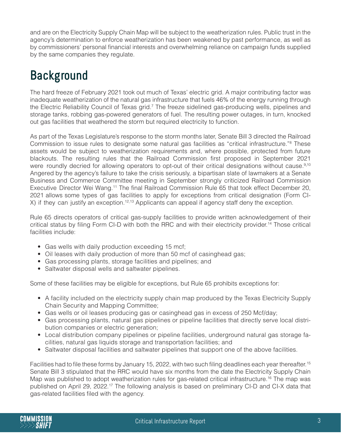and are on the Electricity Supply Chain Map will be subject to the weatherization rules. Public trust in the agency's determination to enforce weatherization has been weakened by past performance, as well as by commissioners' personal financial interests and overwhelming reliance on campaign funds supplied by the same companies they regulate.

# **Background**

The hard freeze of February 2021 took out much of Texas' electric grid. A major contributing factor was inadequate weatherization of the natural gas infrastructure that fuels 46% of the energy running through the Electric Reliability Council of Texas grid.<sup>7</sup> The freeze sidelined gas-producing wells, pipelines and storage tanks, robbing gas-powered generators of fuel. The resulting power outages, in turn, knocked out gas facilities that weathered the storm but required electricity to function.

As part of the Texas Legislature's response to the storm months later, Senate Bill 3 directed the Railroad Commission to issue rules to designate some natural gas facilities as "critical infrastructure."<sup>8</sup> These assets would be subject to weatherization requirements and, where possible, protected from future blackouts. The resulting rules that the Railroad Commission first proposed in September 2021 were roundly decried for allowing operators to opt-out of their critical designations without cause.<sup>9,10</sup> Angered by the agency's failure to take the crisis seriously, a bipartisan slate of lawmakers at a Senate Business and Commerce Committee meeting in September strongly criticized Railroad Commission Executive Director Wei Wang.<sup>11</sup> The final Railroad Commission Rule 65 that took effect December 20, 2021 allows some types of gas facilities to apply for exceptions from critical designation (Form CI-X) if they can justify an exception.<sup>12,13</sup> Applicants can appeal if agency staff deny the exception.

Rule 65 directs operators of critical gas-supply facilities to provide written acknowledgement of their critical status by filing Form CI-D with both the RRC and with their electricity provider. <sup>14</sup> Those critical facilities include:

- Gas wells with daily production exceeding 15 mcf;
- Oil leases with daily production of more than 50 mcf of casinghead gas;
- Gas processing plants, storage facilities and pipelines; and
- Saltwater disposal wells and saltwater pipelines.

Some of these facilities may be eligible for exceptions, but Rule 65 prohibits exceptions for:

- A facility included on the electricity supply chain map produced by the Texas Electricity Supply Chain Security and Mapping Committee;
- Gas wells or oil leases producing gas or casinghead gas in excess of 250 Mcf/day;
- Gas processing plants, natural gas pipelines or pipeline facilities that directly serve local distribution companies or electric generation;
- Local distribution company pipelines or pipeline facilities, underground natural gas storage facilities, natural gas liquids storage and transportation facilities; and
- Saltwater disposal facilities and saltwater pipelines that support one of the above facilities.

Facilities had to file these forms by January 15, 2022, with two such filing deadlines each year thereafter.<sup>15</sup> Senate Bill 3 stipulated that the RRC would have six months from the date the Electricity Supply Chain Map was published to adopt weatherization rules for gas-related critical infrastructure.<sup>16</sup> The map was published on April 29, 2022.17 The following analysis is based on preliminary CI-D and CI-X data that gas-related facilities filed with the agency.

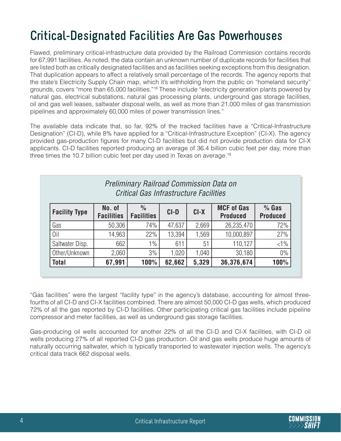# **Critical-Designated Facilities Are Gas Powerhouses**

Flawed, preliminary critical-infrastructure data provided by the Railroad Commission contains records for 67,991 facilities. As noted, the data contain an unknown number of duplicate records for facilities that are listed both as critically designated facilities and as facilities seeking exceptions from this designation. That duplication appears to affect a relatively small percentage of the records. The agency reports that the state's Electricity Supply Chain map, which it's withholding from the public on "homeland security" grounds, covers "more than 65,000 facilities."18 These include "electricity generation plants powered by natural gas, electrical substations, natural gas processing plants, underground gas storage facilities, oil and gas well leases, saltwater disposal wells, as well as more than 21,000 miles of gas transmission pipelines and approximately 60,000 miles of power transmission lines."

The available data indicate that, so far, 92% of the tracked facilities have a "Critical-Infrastructure Designation" (CI-D), while 8% have applied for a "Critical-Infrastructure Exception" (CI-X). The agency provided gas-production figures for many CI-D facilities but did not provide production data for CI-X applicants. CI-D facilities reported producing an average of 36.4 billion cubic feet per day, more than three times the 10.7 billion cubic feet per day used in Texas on average.<sup>19</sup>

| <b>Preliminary Railroad Commission Data on</b><br>Critical Gas Infrastructure Facilities |                             |                                    |        |                                                |            |                            |  |  |
|------------------------------------------------------------------------------------------|-----------------------------|------------------------------------|--------|------------------------------------------------|------------|----------------------------|--|--|
| <b>Facility Type</b>                                                                     | No. of<br><b>Facilities</b> | $\frac{0}{0}$<br><b>Facilities</b> | $CI-D$ | <b>MCF of Gas</b><br>$CI-X$<br><b>Produced</b> |            | $%$ Gas<br><b>Produced</b> |  |  |
| Gas                                                                                      | 50,306                      | 74%                                | 47,637 | 2,669                                          | 26,235,470 | 72%                        |  |  |
| 0il                                                                                      | 14,963                      | 22%                                | 13,394 | 1,569                                          | 10,000,897 | 27%                        |  |  |
| Saltwater Disp.                                                                          | 662                         | 1%                                 | 611    | 51                                             | 110,127    | $<1\%$                     |  |  |
| Other/Unknown                                                                            | 2,060                       | 3%                                 | 1,020  | 1,040                                          | 30,180     | $0\%$                      |  |  |
| <b>Total</b>                                                                             | 67,991                      | 100%                               | 62,662 | 5,329                                          | 36,376,674 | 100%                       |  |  |

"Gas facilities" were the largest "facility type" in the agency's database, accounting for almost threefourths of all CI-D and CI-X facilities combined. There are almost 50,000 CI-D gas wells, which produced 72% of all the gas reported by CI-D facilities. Other participating critical gas facilities include pipeline compressor and meter facilities, as well as underground gas storage facilities.

Gas-producing oil wells accounted for another 22% of all the CI-D and CI-X facilities, with CI-D oil wells producing 27% of all reported CI-D gas production. Oil and gas wells produce huge amounts of naturally occurring saltwater, which is typically transported to wastewater injection wells. The agency's critical data track 662 disposal wells.

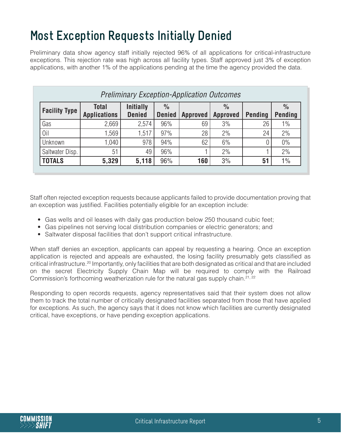# **Most Exception Requests Initially Denied**

Preliminary data show agency staff initially rejected 96% of all applications for critical-infrastructure exceptions. This rejection rate was high across all facility types. Staff approved just 3% of exception applications, with another 1% of the applications pending at the time the agency provided the data.

| <b>Preliminary Exception-Application Outcomes</b> |                                     |                                   |                                |                 |                                  |                |                                 |
|---------------------------------------------------|-------------------------------------|-----------------------------------|--------------------------------|-----------------|----------------------------------|----------------|---------------------------------|
| <b>Facility Type</b>                              | <b>Total</b><br><b>Applications</b> | <b>Initially</b><br><b>Denied</b> | $\frac{0}{0}$<br><b>Denied</b> | <b>Approved</b> | $\frac{0}{0}$<br><b>Approved</b> | <b>Pending</b> | $\frac{0}{0}$<br><b>Pending</b> |
| Gas                                               | 2,669                               | 2,574                             | 96%                            | 69              | 3%                               | 26             | $1\%$                           |
| Oil                                               | .569                                | 1,517                             | 97%                            | 28              | 2%                               | 24             | 2%                              |
| Unknown                                           | 1,040                               | 978                               | 94%                            | 62              | 6%                               |                | 0%                              |
| Saltwater Disp.                                   | 51                                  | 49                                | 96%                            |                 | 2%                               |                | 2%                              |
| <b>TOTALS</b>                                     | 5,329                               | 5,118                             | 96%                            | 160             | 3%                               | 51             | $1\%$                           |

Staff often rejected exception requests because applicants failed to provide documentation proving that an exception was justified. Facilities potentially eligible for an exception include:

- Gas wells and oil leases with daily gas production below 250 thousand cubic feet;
- Gas pipelines not serving local distribution companies or electric generators; and
- Saltwater disposal facilities that don't support critical infrastructure.

When staff denies an exception, applicants can appeal by requesting a hearing. Once an exception application is rejected and appeals are exhausted, the losing facility presumably gets classified as critical infrastructure.<sup>20</sup> Importantly, only facilities that are both designated as critical and that are included on the secret Electricity Supply Chain Map will be required to comply with the Railroad Commission's forthcoming weatherization rule for the natural gas supply chain.<sup>21, 22</sup>

Responding to open records requests, agency representatives said that their system does not allow them to track the total number of critically designated facilities separated from those that have applied for exceptions. As such, the agency says that it does not know which facilities are currently designated critical, have exceptions, or have pending exception applications.

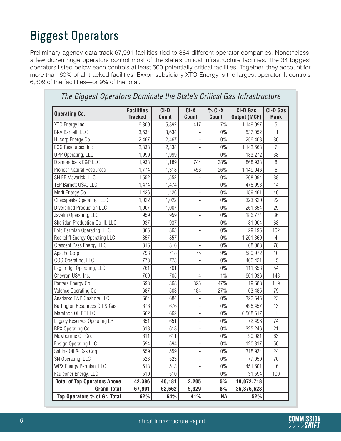# **Biggest Operators**

Preliminary agency data track 67,991 facilities tied to 884 different operator companies. Nonetheless, a few dozen huge operators control most of the state's critical infrastructure facilities. The 34 biggest operators listed below each controls at least 500 potentially critical facilities. Together, they account for more than 60% of all tracked facilities. Exxon subsidiary XTO Energy is the largest operator. It controls 6,309 of the facilities—or 9% of the total.

| <b>Operating Co.</b>                | <b>Facilities</b><br><b>Tracked</b> | CI-D<br>Count | CI-X<br><b>Count</b>     | $%$ CI-X<br>Count | <b>CI-D Gas</b><br><b>Output (MCF)</b> | CI-D Gas<br>Rank |
|-------------------------------------|-------------------------------------|---------------|--------------------------|-------------------|----------------------------------------|------------------|
| XTO Energy Inc.                     | 6,309                               | 5,892         | 417                      | 7%                | 1,149,997                              | 5                |
| BKV Barnett, LLC                    | 3,634                               | 3,634         |                          | $0\%$             | 537,052                                | 11               |
| Hilcorp Energy Co.                  | 2,467                               | 2,467         | $\overline{a}$           | $0\%$             | 256,408                                | 30               |
| EOG Resources, Inc.                 | 2,338                               | 2,338         | ÷                        | $0\%$             | 1,142,663                              | $\overline{7}$   |
| <b>UPP Operating, LLC</b>           | 1,999                               | 1,999         | $\overline{a}$           | $0\%$             | 183,272                                | 38               |
| Diamondback E&P LLC                 | 1,933                               | 1,189         | 744                      | 38%               | 868,933                                | 8                |
| <b>Pioneer Natural Resources</b>    | 1,774                               | 1,318         | 456                      | 26%               | 1,149,046                              | $6\,$            |
| SN EF Maverick, LLC                 | 1,552                               | 1,552         | $\overline{\phantom{0}}$ | $0\%$             | 268,094                                | 38               |
| TEP Barnett USA, LLC                | 1,474                               | 1,474         | ÷,                       | $0\%$             | 476,993                                | 14               |
| Merit Energy Co.                    | 1,426                               | 1,426         | $\overline{a}$           | $0\%$             | 159,461                                | 40               |
| Chesapeake Operating, LLC           | 1,022                               | 1,022         | $\overline{a}$           | $0\%$             | 323,620                                | 22               |
| <b>Diversified Production LLC</b>   | 1,007                               | 1,007         | $\overline{a}$           | $0\%$             | 261,354                                | 29               |
| Javelin Operating, LLC              | 959                                 | 959           | $\overline{a}$           | $0\%$             | 186,774                                | 36               |
| Sheridan Production Co III, LLC     | 937                                 | 937           | $\overline{a}$           | $0\%$             | 81,904                                 | 68               |
| Epic Permian Operating, LLC         | 865                                 | 865           | ÷,                       | $0\%$             | 29,195                                 | 102              |
| Rockcliff Energy Operating LLC      | 857                                 | 857           | ÷,                       | $0\%$             | 1,201,369                              | $\overline{4}$   |
| Crescent Pass Energy, LLC           | 816                                 | 816           | $\overline{a}$           | $0\%$             | 68,088                                 | 78               |
| Apache Corp.                        | 793                                 | 718           | 75                       | 9%                | 589,972                                | 10               |
| COG Operating, LLC                  | 773                                 | 773           | ÷,                       | $0\%$             | 466,421                                | 15               |
| Eagleridge Operating, LLC           | 761                                 | 761           | $\overline{\phantom{a}}$ | $0\%$             | 111,653                                | 54               |
| Chevron USA, Inc.                   | 709                                 | 705           | 4                        | $1\%$             | 661,936                                | 148              |
| Pantera Energy Co.                  | 693                                 | 368           | 325                      | 47%               | 19,688                                 | 119              |
| Valence Operating Co.               | 687                                 | 503           | 184                      | 27%               | 63,485                                 | 79               |
| Anadarko E&P Onshore LLC            | 684                                 | 684           | $\overline{\phantom{0}}$ | $0\%$             | 322,545                                | 23               |
| Burlington Resources Oil & Gas      | 676                                 | 676           | $\overline{a}$           | $0\%$             | 496,457                                | 13               |
| Marathon Oil EF LLC                 | 662                                 | 662           | ÷,                       | $0\%$             | 6,508,517                              | $\mathbf{1}$     |
| Legacy Reserves Operating LP        | 651                                 | 651           | ÷,                       | $0\%$             | 72,498                                 | 74               |
| BPX Operating Co.                   | 618                                 | 618           | $\overline{\phantom{0}}$ | $0\%$             | 325,246                                | 21               |
| Mewbourne Oil Co.                   | 611                                 | 611           | $\overline{a}$           | $0\%$             | 90,081                                 | 63               |
| Ensign Operating LLC                | 594                                 | 594           | $\overline{a}$           | $0\%$             | 120,817                                | 50               |
| Sabine Oil & Gas Corp.              | 559                                 | 559           | $\overline{a}$           | $0\%$             | 318,934                                | 24               |
| SN Operating, LLC                   | 523                                 | 523           | $\overline{a}$           | $0\%$             | 77,050                                 | 70               |
| WPX Energy Permian, LLC             | 513                                 | 513           |                          | $0\%$             | 451,601                                | 16               |
| Faulconer Energy, LLC               | 510                                 | 510           |                          | $0\%$             | 31,594                                 | 100              |
| <b>Total of Top Operators Above</b> | 42,386                              | 40,181        | 2,205                    | 5%                | 19,072,718                             |                  |
| <b>Grand Total</b>                  | 67,991                              | 62,662        | 5,329                    | 8%                | 36,376,628                             |                  |
| Top Operators % of Gr. Total        | 62%                                 | 64%           | 41%                      | <b>NA</b>         | 52%                                    |                  |

#### *The Biggest Operators Dominate the State's Critical Gas Infrastructure*

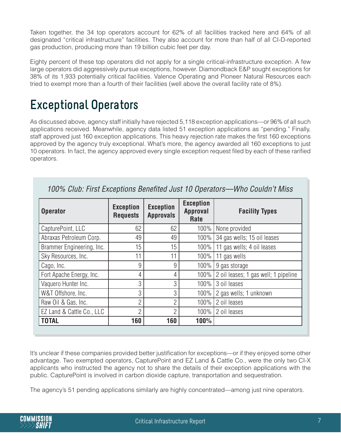Taken together, the 34 top operators account for 62% of all facilities tracked here and 64% of all designated "critical infrastructure" facilities. They also account for more than half of all CI-D-reported gas production, producing more than 19 billion cubic feet per day.

Eighty percent of these top operators did not apply for a single critical-infrastructure exception. A few large operators did aggressively pursue exceptions, however. Diamondback E&P sought exceptions for 38% of its 1,933 potentially critical facilities. Valence Operating and Pioneer Natural Resources each tried to exempt more than a fourth of their facilities (well above the overall facility rate of 8%).

### **Exceptional Operators**

As discussed above, agency staff initially have rejected 5,118 exception applications—or 96% of all such applications received. Meanwhile, agency data listed 51 exception applications as "pending." Finally, staff approved just 160 exception applications. This heavy rejection rate makes the first 160 exceptions approved by the agency truly exceptional. What's more, the agency awarded all 160 exceptions to just 10 operators. In fact, the agency approved every single exception request filed by each of these rarified operators.

| <b>Operator</b>           | <b>Exception</b><br><b>Requests</b> | <b>Exception</b><br><b>Approvals</b> | <b>Exception</b><br><b>Approval</b><br>Rate | <b>Facility Types</b>                |
|---------------------------|-------------------------------------|--------------------------------------|---------------------------------------------|--------------------------------------|
| CapturePoint, LLC         | 62                                  | 62                                   | 100%                                        | None provided                        |
| Abraxas Petroleum Corp.   | 49                                  | 49                                   | 100%                                        | 34 gas wells; 15 oil leases          |
| Brammer Engineering, Inc. | 15                                  | 15                                   |                                             | 100%   11 gas wells; 4 oil leases    |
| Sky Resources, Inc.       | 11                                  | 11                                   | 100%                                        | 11 gas wells                         |
| Cago, Inc.                | 9                                   | 9                                    | 100%                                        | 9 gas storage                        |
| Fort Apache Energy, Inc.  | 4                                   | 4                                    | 100%                                        | 2 oil leases; 1 gas well; 1 pipeline |
| Vaquero Hunter Inc.       | 3                                   | 3                                    | 100%                                        | 3 oil leases                         |
| W&T Offshore, Inc.        | 3                                   | 3                                    | 100%                                        | 2 gas wells; 1 unknown               |
| Raw Oil & Gas, Inc.       | $\overline{2}$                      | $\overline{2}$                       | 100%                                        | 2 oil leases                         |
| EZ Land & Cattle Co., LLC | $\overline{2}$                      | $\overline{2}$                       |                                             | $100\%$   2 oil leases               |
| <b>TOTAL</b>              | 160                                 | 160                                  | 100%                                        |                                      |

*100% Club: First Exceptions Benefited Just 10 Operators—Who Couldn't Miss*

It's unclear if these companies provided better justification for exceptions—or if they enjoyed some other advantage. Two exempted operators, CapturePoint and EZ Land & Cattle Co., were the only two CI-X applicants who instructed the agency not to share the details of their exception applications with the public. CapturePoint is involved in carbon dioxide capture, transportation and sequestration.

The agency's 51 pending applications similarly are highly concentrated—among just nine operators.

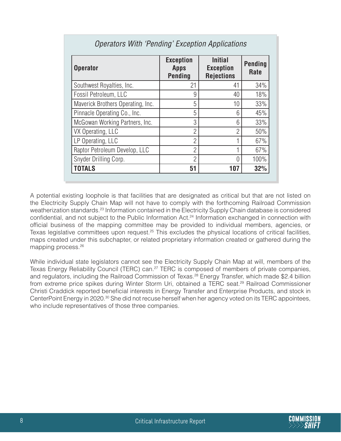| <b>Operator</b>                   | <b>Exception</b><br><b>Apps</b><br><b>Pending</b> | <b>Initial</b><br><b>Exception</b><br><b>Rejections</b> | <b>Pending</b><br>Rate |
|-----------------------------------|---------------------------------------------------|---------------------------------------------------------|------------------------|
| Southwest Royalties, Inc.         | 21                                                | 41                                                      | 34%                    |
| Fossil Petroleum, LLC             | 9                                                 | 40                                                      | 18%                    |
| Maverick Brothers Operating, Inc. | 5                                                 | 10                                                      | 33%                    |
| Pinnacle Operating Co., Inc.      | 5                                                 | 6                                                       | 45%                    |
| McGowan Working Partners, Inc.    | 3                                                 | 6                                                       | 33%                    |
| VX Operating, LLC                 | $\overline{2}$                                    | $\overline{2}$                                          | 50%                    |
| LP Operating, LLC                 | $\overline{2}$                                    | 1                                                       | 67%                    |
| Raptor Petroleum Develop, LLC     | $\overline{2}$                                    | 1                                                       | 67%                    |
| Snyder Drilling Corp.             | $\overline{2}$                                    | $\Omega$                                                | 100%                   |
| <b>TOTALS</b>                     | 51                                                | 107                                                     | 32%                    |

#### *Operators With 'Pending' Exception Applications*

A potential existing loophole is that facilities that are designated as critical but that are not listed on the Electricity Supply Chain Map will not have to comply with the forthcoming Railroad Commission weatherization standards.<sup>23</sup> Information contained in the Electricity Supply Chain database is considered confidential, and not subject to the Public Information Act.<sup>24</sup> Information exchanged in connection with official business of the mapping committee may be provided to individual members, agencies, or Texas legislative committees upon request.<sup>25</sup> This excludes the physical locations of critical facilities, maps created under this subchapter, or related proprietary information created or gathered during the mapping process.<sup>26</sup>

While individual state legislators cannot see the Electricity Supply Chain Map at will, members of the Texas Energy Reliability Council (TERC) can.<sup>27</sup> TERC is composed of members of private companies, and regulators, including the Railroad Commission of Texas.28 Energy Transfer, which made \$2.4 billion from extreme price spikes during Winter Storm Uri, obtained a TERC seat.<sup>29</sup> Railroad Commissioner Christi Craddick reported beneficial interests in Energy Transfer and Enterprise Products, and stock in CenterPoint Energy in 2020.<sup>30</sup> She did not recuse herself when her agency voted on its TERC appointees, who include representatives of those three companies.

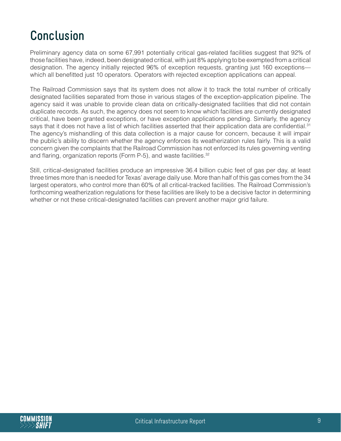### **Conclusion**

Preliminary agency data on some 67,991 potentially critical gas-related facilities suggest that 92% of those facilities have, indeed, been designated critical, with just 8% applying to be exempted from a critical designation. The agency initially rejected 96% of exception requests, granting just 160 exceptions which all benefitted just 10 operators. Operators with rejected exception applications can appeal.

The Railroad Commission says that its system does not allow it to track the total number of critically designated facilities separated from those in various stages of the exception-application pipeline. The agency said it was unable to provide clean data on critically-designated facilities that did not contain duplicate records. As such, the agency does not seem to know which facilities are currently designated critical, have been granted exceptions, or have exception applications pending. Similarly, the agency says that it does not have a list of which facilities asserted that their application data are confidential.<sup>31</sup> The agency's mishandling of this data collection is a major cause for concern, because it will impair the public's ability to discern whether the agency enforces its weatherization rules fairly. This is a valid concern given the complaints that the Railroad Commission has not enforced its rules governing venting and flaring, organization reports (Form P-5), and waste facilities.<sup>32</sup>

Still, critical-designated facilities produce an impressive 36.4 billion cubic feet of gas per day, at least three times more than is needed for Texas' average daily use. More than half of this gas comes from the 34 largest operators, who control more than 60% of all critical-tracked facilities. The Railroad Commission's forthcoming weatherization regulations for these facilities are likely to be a decisive factor in determining whether or not these critical-designated facilities can prevent another major grid failure.

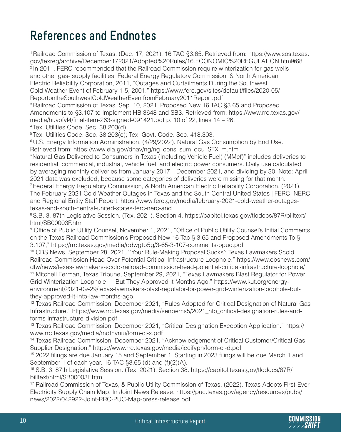# **References and Endnotes**

<sup>1</sup>Railroad Commission of Texas. (Dec. 17, 2021). 16 TAC §3.65. Retrieved from: https://www.sos.texas. gov/texreg/archive/December172021/Adopted%20Rules/16.ECONOMIC%20REGULATION.html#68 <sup>2</sup> In 2011, FERC recommended that the Railroad Commission require winterization for gas wells and other gas- supply facilities. Federal Energy Regulatory Commission, & North American Electric Reliability Corporation, 2011, "Outages and Curtailments During the Southwest Cold Weather Event of February 1-5, 2001." https://www.ferc.gov/sites/default/files/2020-05/ ReportontheSouthwestColdWeatherEventfromFebruary2011Report.pdf

<sup>3</sup> Railroad Commission of Texas. Sep. 10, 2021. Proposed New 16 TAC §3.65 and Proposed Amendments to §3.107 to Implement HB 3648 and SB3. Retrieved from: https://www.rrc.texas.gov/ media/huvofyl4/final-item-263-signed-091421.pdf p. 10 of 22, lines 14 – 26.

4 Tex. Utilities Code. Sec. 38.203(d).

<sup>5</sup>Tex. Utilities Code. Sec. 38.203(e); Tex. Govt. Code. Sec. 418.303.

<sup>6</sup> U.S. Energy Information Administration. (4/29/2022). Natural Gas Consumption by End Use. Retrieved from: https://www.eia.gov/dnav/ng/ng\_cons\_sum\_dcu\_STX\_m.htm

"Natural Gas Delivered to Consumers in Texas (Including Vehicle Fuel) (MMcf)" includes deliveries to residential, commercial, industrial, vehicle fuel, and electric power consumers. Daily use calculated by averaging monthly deliveries from January 2017 – December 2021, and dividing by 30. Note: April 2021 data was excluded, because some categories of deliveries were missing for that month.

<sup>7</sup> Federal Energy Regulatory Commission, & North American Electric Reliability Corporation. (2021). The February 2021 Cold Weather Outages in Texas and the South Central United States | FERC, NERC and Regional Entity Staff Report. https://www.ferc.gov/media/february-2021-cold-weather-outagestexas-and-south-central-united-states-ferc-nerc-and

<sup>8</sup>S.B. 3. 87th Legislative Session. (Tex. 2021). Section 4. https://capitol.texas.gov/tlodocs/87R/billtext/ html/SB00003F.htm

<sup>9</sup> Office of Public Utility Counsel, November 1, 2021, "Office of Public Utility Counsel's Initial Comments on the Texas Railroad Commission's Proposed New 16 Tac § 3.65 and Proposed Amendments To § 3.107," https://rrc.texas.gov/media/ddwgtb5g/3-65-3-107-comments-opuc.pdf

<sup>10</sup> CBS News, September 28, 2021, "'Your Rule-Making Proposal Sucks': Texas Lawmakers Scold Railroad Commission Head Over Potential Critical Infrastructure Loophole." https://www.cbsnews.com/ dfw/news/texas-lawmakers-scold-railroad-commission-head-potential-critical-infrastructure-loophole/ <sup>11</sup> Mitchell Ferman, Texas Tribune, September 29, 2021, "Texas Lawmakers Blast Regulator for Power Grid Winterization Loophole — But They Approved It Months Ago." https://www.kut.org/energyenvironment/2021-09-29/texas-lawmakers-blast-regulator-for-power-grid-winterization-loophole-butthey-approved-it-into-law-months-ago.

<sup>12</sup> Texas Railroad Commission, December 2021, "Rules Adopted for Critical Designation of Natural Gas Infrastructure." https://www.rrc.texas.gov/media/senbems5/2021\_nto\_critical-designation-rules-andforms-infrastructure-division.pdf

<sup>13</sup> Texas Railroad Commission, December 2021, "Critical Designation Exception Application." https:// www.rrc.texas.gov/media/mdtnvniu/form-ci-x.pdf

<sup>14</sup> Texas Railroad Commission, December 2021, "Acknowledgement of Critical Customer/Critical Gas Supplier Designation." https://www.rrc.texas.gov/media/iccifyph/form-ci-d.pdf

<sup>15</sup> 2022 filings are due January 15 and September 1. Starting in 2023 filings will be due March 1 and September 1 of each year. 16 TAC §3.65 (d) and (f)(2)(A).

<sup>16</sup> S.B. 3. 87th Legislative Session. (Tex. 2021). Section 38. https://capitol.texas.gov/tlodocs/87R/ billtext/html/SB00003F.htm

<sup>17</sup> Railroad Commission of Texas, & Public Utility Commission of Texas. (2022). Texas Adopts First-Ever Electricity Supply Chain Map. In Joint News Release. https://puc.texas.gov/agency/resources/pubs/ news/2022/042922-Joint-RRC-PUC-Map-press-release.pdf